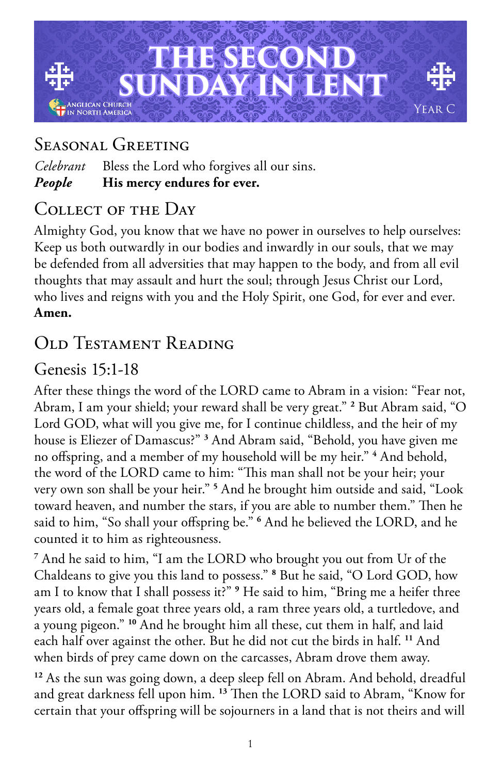

## Seasonal Greeting

*Celebrant* Bless the Lord who forgives all our sins. *People* **His mercy endures for ever.**

### Collect of the Day

Almighty God, you know that we have no power in ourselves to help ourselves: Keep us both outwardly in our bodies and inwardly in our souls, that we may be defended from all adversities that may happen to the body, and from all evil thoughts that may assault and hurt the soul; through Jesus Christ our Lord, who lives and reigns with you and the Holy Spirit, one God, for ever and ever. **Amen.**

## Old Testament Reading

### Genesis 15:1-18

After these things the word of the LORD came to Abram in a vision: "Fear not, Abram, I am your shield; your reward shall be very great." **<sup>2</sup>** But Abram said, "O Lord GOD, what will you give me, for I continue childless, and the heir of my house is Eliezer of Damascus?" **<sup>3</sup>** And Abram said, "Behold, you have given me no offspring, and a member of my household will be my heir." **<sup>4</sup>** And behold, the word of the LORD came to him: "This man shall not be your heir; your very own son shall be your heir." **<sup>5</sup>** And he brought him outside and said, "Look toward heaven, and number the stars, if you are able to number them." Then he said to him, "So shall your offspring be." **<sup>6</sup>** And he believed the LORD, and he counted it to him as righteousness.

**7** And he said to him, "I am the LORD who brought you out from Ur of the Chaldeans to give you this land to possess." **<sup>8</sup>** But he said, "O Lord GOD, how am I to know that I shall possess it?" **<sup>9</sup>** He said to him, "Bring me a heifer three years old, a female goat three years old, a ram three years old, a turtledove, and a young pigeon." **<sup>10</sup>** And he brought him all these, cut them in half, and laid each half over against the other. But he did not cut the birds in half. **<sup>11</sup>** And when birds of prey came down on the carcasses, Abram drove them away.

**<sup>12</sup>** As the sun was going down, a deep sleep fell on Abram. And behold, dreadful and great darkness fell upon him. **<sup>13</sup>** Then the LORD said to Abram, "Know for certain that your offspring will be sojourners in a land that is not theirs and will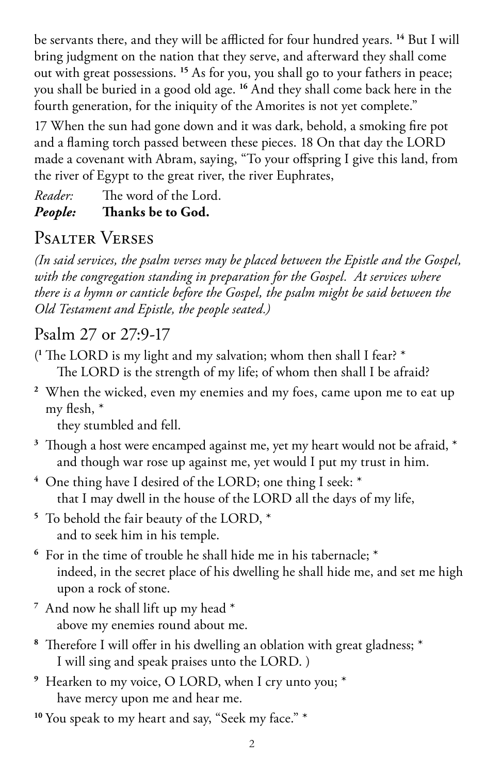be servants there, and they will be afflicted for four hundred years. **<sup>14</sup>** But I will bring judgment on the nation that they serve, and afterward they shall come out with great possessions. **<sup>15</sup>** As for you, you shall go to your fathers in peace; you shall be buried in a good old age. **<sup>16</sup>** And they shall come back here in the fourth generation, for the iniquity of the Amorites is not yet complete."

17 When the sun had gone down and it was dark, behold, a smoking fire pot and a flaming torch passed between these pieces. 18 On that day the LORD made a covenant with Abram, saying, "To your offspring I give this land, from the river of Egypt to the great river, the river Euphrates,

*Reader:* The word of the Lord. *People:* **Thanks be to God.** 

# Psalter Verses

*(In said services, the psalm verses may be placed between the Epistle and the Gospel, with the congregation standing in preparation for the Gospel. At services where there is a hymn or canticle before the Gospel, the psalm might be said between the Old Testament and Epistle, the people seated.)*

## Psalm 27 or 27:9-17

- ( **<sup>1</sup>** The LORD is my light and my salvation; whom then shall I fear? \* The LORD is the strength of my life; of whom then shall I be afraid?
- **<sup>2</sup>** When the wicked, even my enemies and my foes, came upon me to eat up my flesh, \*

they stumbled and fell.

- **<sup>3</sup>** Though a host were encamped against me, yet my heart would not be afraid, \* and though war rose up against me, yet would I put my trust in him.
- **<sup>4</sup>** One thing have I desired of the LORD; one thing I seek: \* that I may dwell in the house of the LORD all the days of my life,
- **<sup>5</sup>** To behold the fair beauty of the LORD, \* and to seek him in his temple.
- **<sup>6</sup>** For in the time of trouble he shall hide me in his tabernacle; \* indeed, in the secret place of his dwelling he shall hide me, and set me high upon a rock of stone.
- **<sup>7</sup>** And now he shall lift up my head \* above my enemies round about me.
- **<sup>8</sup>** Therefore I will offer in his dwelling an oblation with great gladness; \* I will sing and speak praises unto the LORD. )
- **<sup>9</sup>** Hearken to my voice, O LORD, when I cry unto you; \* have mercy upon me and hear me.

<sup>10</sup> You speak to my heart and say, "Seek my face." \*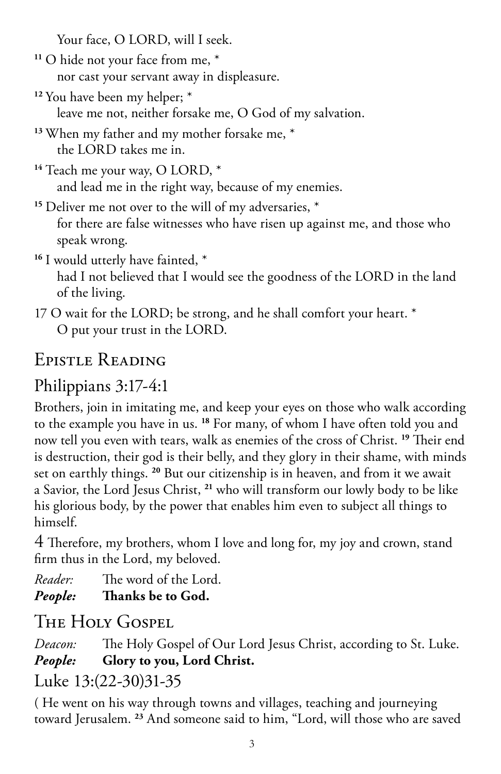Your face, O LORD, will I seek.

- **<sup>11</sup>** O hide not your face from me, \* nor cast your servant away in displeasure.
- **<sup>12</sup>** You have been my helper; \* leave me not, neither forsake me, O God of my salvation.
- **<sup>13</sup>** When my father and my mother forsake me, \* the LORD takes me in.
- **<sup>14</sup>** Teach me your way, O LORD, \* and lead me in the right way, because of my enemies.

**<sup>15</sup>** Deliver me not over to the will of my adversaries, \* for there are false witnesses who have risen up against me, and those who speak wrong.

- **<sup>16</sup>** I would utterly have fainted, \* had I not believed that I would see the goodness of the LORD in the land of the living.
- 17 O wait for the LORD; be strong, and he shall comfort your heart. \* O put your trust in the LORD.

# Epistle Reading

# Philippians 3:17-4:1

Brothers, join in imitating me, and keep your eyes on those who walk according to the example you have in us. **<sup>18</sup>** For many, of whom I have often told you and now tell you even with tears, walk as enemies of the cross of Christ. **<sup>19</sup>** Their end is destruction, their god is their belly, and they glory in their shame, with minds set on earthly things. **<sup>20</sup>** But our citizenship is in heaven, and from it we await a Savior, the Lord Jesus Christ, **<sup>21</sup>** who will transform our lowly body to be like his glorious body, by the power that enables him even to subject all things to himself.

4 Therefore, my brothers, whom I love and long for, my joy and crown, stand firm thus in the Lord, my beloved.

*Reader:* The word of the Lord.

*People:* **Thanks be to God.** 

# The Holy Gospel

*Deacon:* The Holy Gospel of Our Lord Jesus Christ, according to St. Luke. *People:* **Glory to you, Lord Christ.**

## Luke 13:(22-30)31-35

( He went on his way through towns and villages, teaching and journeying toward Jerusalem. **23** And someone said to him, "Lord, will those who are saved